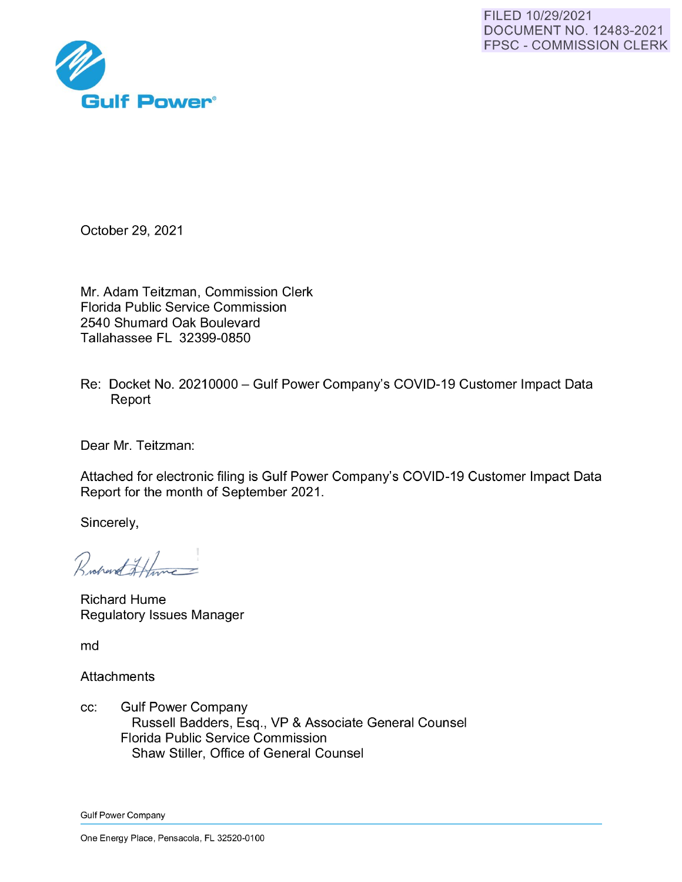

October 29, 2021

Mr. Adam Teitzman, Commission Clerk Florida Public Service Commission 2540 Shumard Oak Boulevard Tallahassee FL 32399-0850

Re: Docket No. 20210000- Gulf Power Company's COVID-19 Customer Impact Data Report

Dear Mr. Teitzman:

Attached for electronic filing is Gulf Power Company's COVID-19 Customer Impact Data Report for the month of September 2021 .

Sincerely,

Rochard Hune

Richard Hume Regulatory Issues Manager

md

**Attachments** 

cc: Gulf Power Company Russell Badders, Esq., VP & Associate General Counsel Florida Public Service Commission Shaw Stiller, Office of General Counsel

Gulf Power Company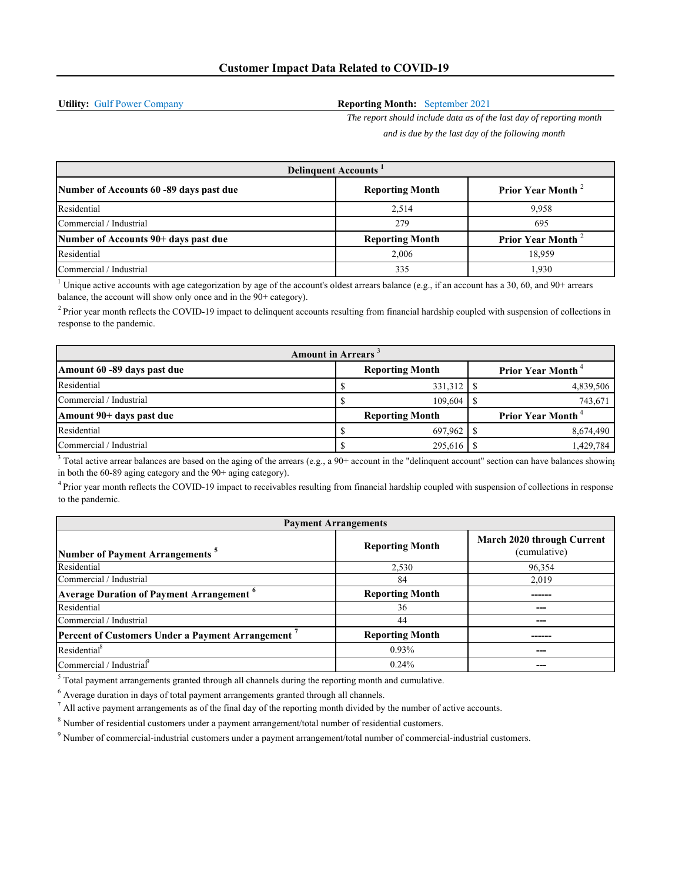**Utility:** Gulf Power Company

## **Reporting Month:** September 2021

*The report should include data as of the last day of reporting month and is due by the last day of the following month*

| <b>Delinquent Accounts</b>              |                        |                               |  |  |
|-----------------------------------------|------------------------|-------------------------------|--|--|
| Number of Accounts 60 -89 days past due | <b>Reporting Month</b> | Prior Year Month <sup>2</sup> |  |  |
| Residential                             | 2.514                  | 9.958                         |  |  |
| Commercial / Industrial                 | 279                    | 695                           |  |  |
| Number of Accounts 90+ days past due    | <b>Reporting Month</b> | <b>Prior Year Month</b>       |  |  |
| Residential                             | 2,006                  | 18,959                        |  |  |
| Commercial / Industrial                 | 335                    | 1.930                         |  |  |

<sup>1</sup> Unique active accounts with age categorization by age of the account's oldest arrears balance (e.g., if an account has a 30, 60, and 90+ arrears balance, the account will show only once and in the 90+ category).

 $<sup>2</sup>$  Prior year month reflects the COVID-19 impact to delinquent accounts resulting from financial hardship coupled with suspension of collections in</sup> response to the pandemic.

| <b>Amount in Arrears</b>    |  |                        |  |                                      |
|-----------------------------|--|------------------------|--|--------------------------------------|
| Amount 60 -89 days past due |  | <b>Reporting Month</b> |  | <b>Prior Year Month</b> <sup>4</sup> |
| Residential                 |  | 331,312                |  | 4,839,506                            |
| Commercial / Industrial     |  | 109,604                |  | 743,671                              |
| Amount 90+ days past due    |  | <b>Reporting Month</b> |  | <b>Prior Year Month</b> <sup>4</sup> |
| Residential                 |  | 697,962                |  | 8,674,490                            |
| Commercial / Industrial     |  | 295,616                |  | 1,429,784                            |

 $3$  Total active arrear balances are based on the aging of the arrears (e.g., a 90+ account in the "delinquent account" section can have balances showing in both the 60-89 aging category and the 90+ aging category).

4 Prior year month reflects the COVID-19 impact to receivables resulting from financial hardship coupled with suspension of collections in response to the pandemic.

| <b>Payment Arrangements</b>                                 |                        |                                            |  |  |
|-------------------------------------------------------------|------------------------|--------------------------------------------|--|--|
| Number of Payment Arrangements <sup>5</sup>                 | <b>Reporting Month</b> | March 2020 through Current<br>(cumulative) |  |  |
| Residential                                                 | 2,530                  | 96,354                                     |  |  |
| Commercial / Industrial                                     | 84                     | 2,019                                      |  |  |
| <b>Average Duration of Payment Arrangement</b> <sup>6</sup> | <b>Reporting Month</b> |                                            |  |  |
| Residential                                                 | 36                     |                                            |  |  |
| Commercial / Industrial                                     | 44                     |                                            |  |  |
| Percent of Customers Under a Payment Arrangement '          | <b>Reporting Month</b> |                                            |  |  |
| Residential <sup>8</sup>                                    | 0.93%                  |                                            |  |  |
| Commercial / Industrial                                     | $0.24\%$               |                                            |  |  |

 $<sup>5</sup>$  Total payment arrangements granted through all channels during the reporting month and cumulative.</sup>

 $<sup>6</sup>$  Average duration in days of total payment arrangements granted through all channels.</sup>

 $<sup>7</sup>$  All active payment arrangements as of the final day of the reporting month divided by the number of active accounts.</sup>

 $8$  Number of residential customers under a payment arrangement/total number of residential customers.

<sup>9</sup> Number of commercial-industrial customers under a payment arrangement/total number of commercial-industrial customers.